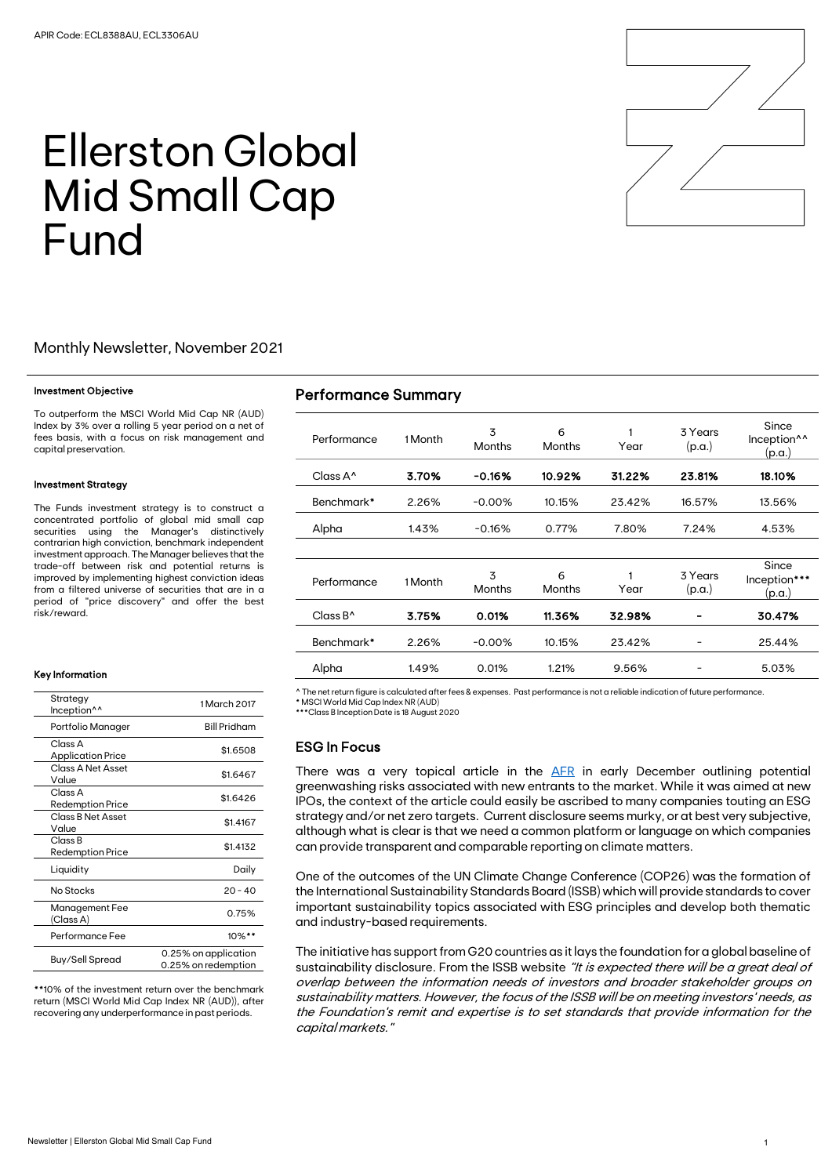

# Ellerston Global Mid Small Cap Fund

# Monthly Newsletter, November 2021

#### Investment Objective

To outperform the MSCI World Mid Cap NR (AUD) Index by 3% over a rolling 5 year period on a net of fees basis, with a focus on risk management and capital preservation.

#### Investment Strategy

The Funds investment strategy is to construct a concentrated portfolio of global mid small cap securities using the Manager's distinctively contrarian high conviction, benchmark independent investment approach. The Manager believes that the trade-off between risk and potential returns is improved by implementing highest conviction ideas from a filtered universe of securities that are in a period of "price discovery" and offer the best risk/reward.

#### Key Information

| Strategy<br>Inception <sup>^^</sup>           | 1 March 2017                                |
|-----------------------------------------------|---------------------------------------------|
| Portfolio Manager                             | <b>Bill Pridham</b>                         |
| Class A<br><b>Application Price</b>           | \$1.6508                                    |
| Class A Net Asset<br>Value                    | \$1.6467                                    |
| Class A<br><b>Redemption Price</b>            | \$1.6426                                    |
| Class B Net Asset<br>Value                    | \$1.4167                                    |
| Class <sub>B</sub><br><b>Redemption Price</b> | \$1.4132                                    |
| Liquidity                                     | Daily                                       |
| No Stocks                                     | $20 - 40$                                   |
| Management Fee<br>(Class A)                   | 0.75%                                       |
| Performance Fee                               | $10\%$ **                                   |
| Buy/Sell Spread                               | 0.25% on application<br>0.25% on redemption |

\*\*10% of the investment return over the benchmark return (MSCI World Mid Cap Index NR (AUD)), after recovering any underperformance in past periods.

# Performance Summary

| Performance                              | 1 Month | 3<br><b>Months</b> | 6<br><b>Months</b> | 1<br>Year | 3 Years<br>(p.a.) | Since<br>Inception <sup>^^</sup><br>(p.a.) |
|------------------------------------------|---------|--------------------|--------------------|-----------|-------------------|--------------------------------------------|
| Class $A^{\wedge}$                       | 3.70%   | $-0.16%$           | 10.92%             | 31.22%    | 23.81%            | 18.10%                                     |
| Benchmark*                               | 2.26%   | $-0.00%$           | 10.15%             | 23.42%    | 16.57%            | 13.56%                                     |
| Alpha                                    | 1.43%   | $-0.16%$           | 0.77%              | 7.80%     | 7.24%             | 4.53%                                      |
|                                          |         |                    |                    |           |                   |                                            |
| Performance                              | 1 Month | 3<br><b>Months</b> | 6<br><b>Months</b> | Year      | 3 Years<br>(p.a.) | Since<br>Inception***<br>(p.a.)            |
| $Cl$ ass B <sup><math>\land</math></sup> | 3.75%   | 0.01%              | 11.36%             | 32.98%    |                   | 30.47%                                     |
| Benchmark*                               | 2.26%   | $-0.00%$           | 10.15%             | 23.42%    |                   | 25.44%                                     |
| Alpha                                    | 1.49%   | 0.01%              | 1.21%              | 9.56%     |                   | 5.03%                                      |

^ The net return figure is calculated after fees & expenses. Past performance is not a reliable indication of future performance. \* MSCI World Mid Cap Index NR (AUD)

\*\*\*Class B Inception Date is 18 August 2020

## ESG In Focus

There was a very topical article in the [AFR](https://www.afr.com/companies/financial-services/asic-raises-the-heat-on-greenwashing-ipo-hopefuls-20211206-p59f4f) in early December outlining potential greenwashing risks associated with new entrants to the market. While it was aimed at new IPOs, the context of the article could easily be ascribed to many companies touting an ESG strategy and/or net zero targets. Current disclosure seems murky, or at best very subjective, although what is clear is that we need a common platform or language on which companies can provide transparent and comparable reporting on climate matters.

One of the outcomes of the UN Climate Change Conference (COP26) was the formation of the International Sustainability Standards Board (ISSB) which will provide standards to cover important sustainability topics associated with ESG principles and develop both thematic and industry-based requirements.

The initiative has support from G20 countries as it lays the foundation for a global baseline of sustainability disclosure. From the ISSB website "It is expected there will be a great deal of overlap between the information needs of investors and broader stakeholder groups on sustainability matters. However, the focus of the ISSB will be on meeting investors' needs, as the Foundation's remit and expertise is to set standards that provide information for the capital markets."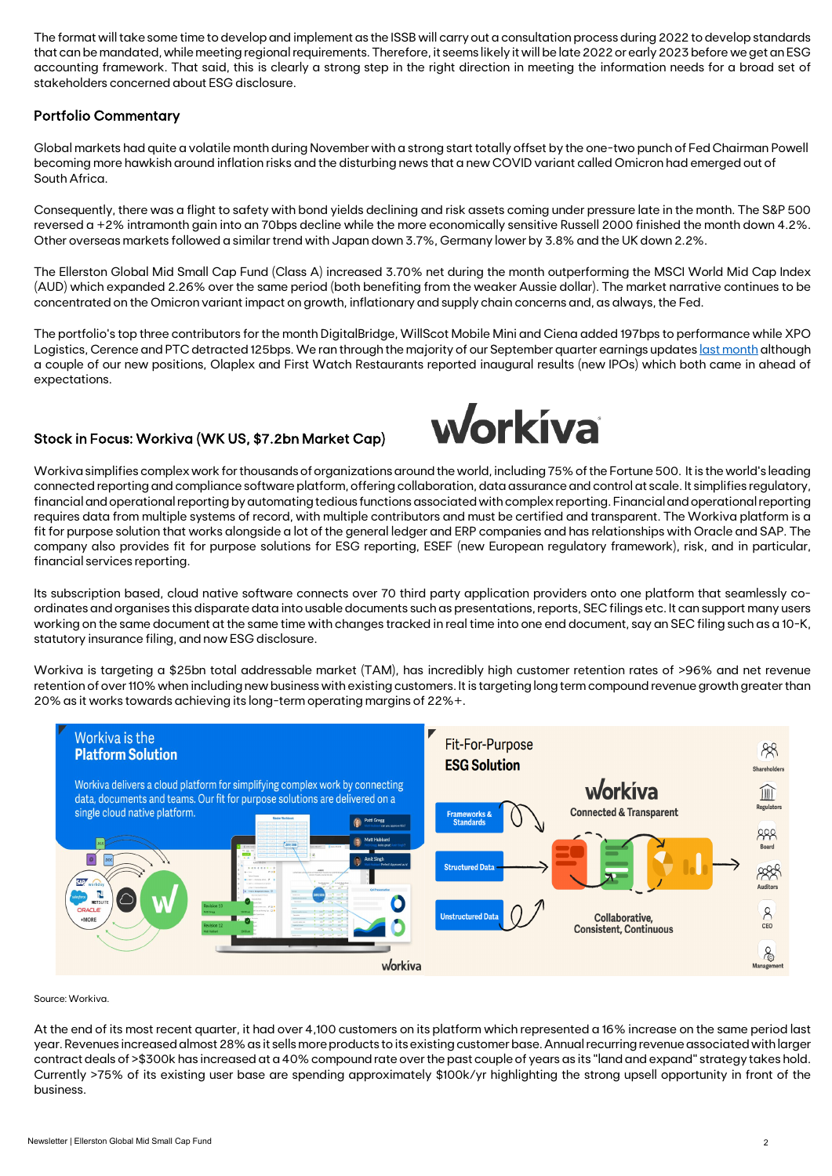The format will take some time to develop and implement as the ISSB will carry out a consultation process during 2022 to develop standards that can be mandated, while meeting regional requirements. Therefore, it seems likely it will be late 2022 or early 2023 before we get an ESG accounting framework. That said, this is clearly a strong step in the right direction in meeting the information needs for a broad set of stakeholders concerned about ESG disclosure.

# Portfolio Commentary

Global markets had quite a volatile month during November with a strong start totally offset by the one-two punch of Fed Chairman Powell becoming more hawkish around inflation risks and the disturbing news that a new COVID variant called Omicron had emerged out of South Africa.

Consequently, there was a flight to safety with bond yields declining and risk assets coming under pressure late in the month. The S&P 500 reversed a +2% intramonth gain into an 70bps decline while the more economically sensitive Russell 2000 finished the month down 4.2%. Other overseas markets followed a similar trend with Japan down 3.7%, Germany lower by 3.8% and the UK down 2.2%.

The Ellerston Global Mid Small Cap Fund (Class A) increased 3.70% net during the month outperforming the MSCI World Mid Cap Index (AUD) which expanded 2.26% over the same period (both benefiting from the weaker Aussie dollar). The market narrative continues to be concentrated on the Omicron variant impact on growth, inflationary and supply chain concerns and, as always, the Fed.

The portfolio's top three contributors for the month DigitalBridge, WillScot Mobile Mini and Ciena added 197bps to performance while XPO Logistics, Cerence and PTC detracted 125bps. We ran through the majority of our September quarter earnings update[s last month](https://ellerstoncapital.com/wp-content/uploads/2021/11/2110-Ellerston-Global-Mid-Small-Cap-Fund-Newsletter.pdf) although a couple of our new positions, Olaplex and First Watch Restaurants reported inaugural results (new IPOs) which both came in ahead of expectations.

# Stock in Focus: Workiva (WK US, \$7.2bn Market Cap)



Workiva simplifies complex work for thousands of organizations around the world, including 75% of the Fortune 500. It is theworld's leading connected reporting and compliance software platform, offering collaboration, data assurance and control at scale. It simplifies regulatory, financial and operational reporting by automating tedious functions associated with complex reporting. Financial and operational reporting requires data from multiple systems of record, with multiple contributors and must be certified and transparent. The Workiva platform is a fit for purpose solution that works alongside a lot of the general ledger and ERP companies and has relationships with Oracle and SAP. The company also provides fit for purpose solutions for ESG reporting, ESEF (new European regulatory framework), risk, and in particular, financial services reporting.

Its subscription based, cloud native software connects over 70 third party application providers onto one platform that seamlessly coordinates and organises this disparate data into usable documents such as presentations, reports, SEC filings etc. It can support many users working on the same document at the same time with changes tracked in real time into one end document, say an SEC filing such as a 10-K, statutory insurance filing, and now ESG disclosure.

Workiva is targeting a \$25bn total addressable market (TAM), has incredibly high customer retention rates of >96% and net revenue retention of over 110% when including new business with existing customers. It is targeting long term compound revenue growth greater than 20% as it works towards achieving its long-term operating margins of 22%+.



Source: Workiva.

At the end of its most recent quarter, it had over 4,100 customers on its platform which represented a 16% increase on the same period last year. Revenues increased almost 28% as it sells more products to its existing customer base. Annual recurring revenue associated with larger contract deals of >\$300k has increased at a 40% compound rate over the past couple of years as its "land and expand" strategy takes hold. Currently >75% of its existing user base are spending approximately \$100k/yr highlighting the strong upsell opportunity in front of the business.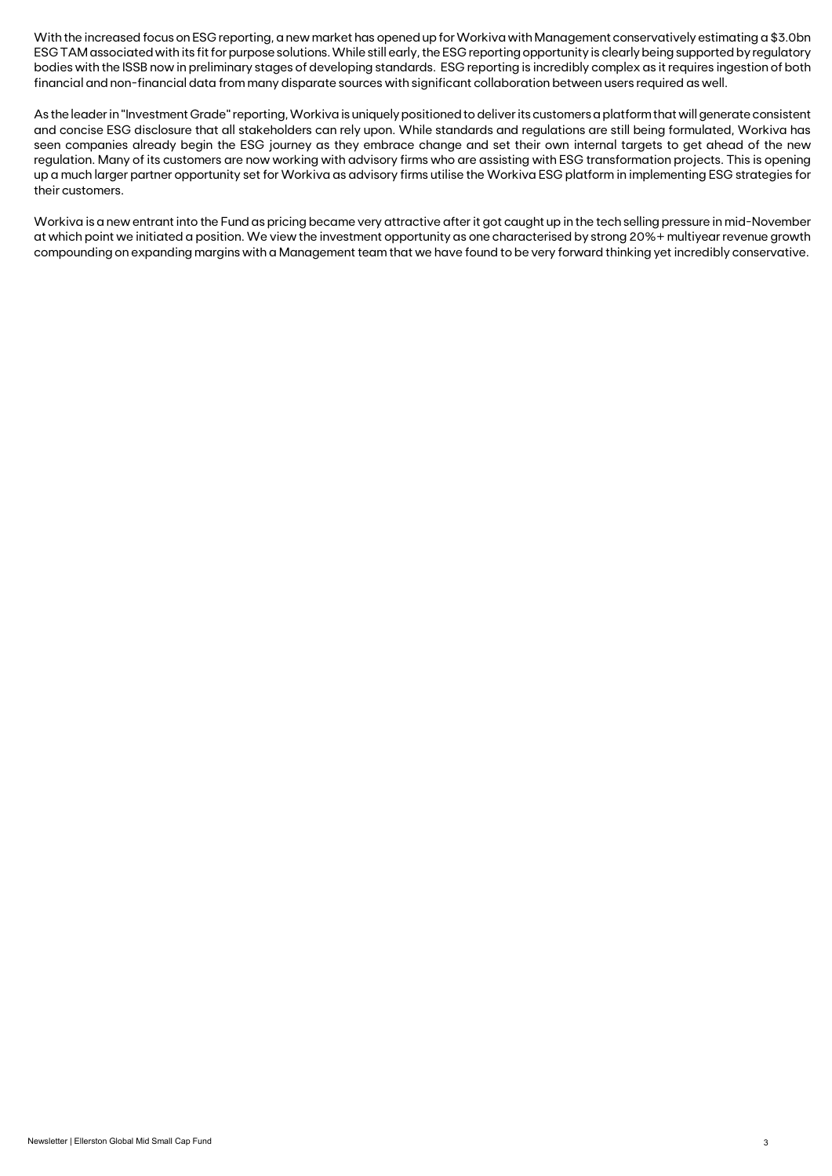With the increased focus on ESG reporting, a new market has opened up for Workiva with Management conservatively estimating a \$3.0bn ESG TAM associated with its fit for purpose solutions.While still early, the ESG reporting opportunity is clearly being supported by regulatory bodies with the ISSB now in preliminary stages of developing standards. ESG reporting is incredibly complex as it requires ingestion of both financial and non-financial data from many disparate sources with significant collaboration between users required as well.

As the leader in "Investment Grade" reporting, Workiva is uniquely positioned to deliver its customers a platform that will generate consistent and concise ESG disclosure that all stakeholders can rely upon. While standards and regulations are still being formulated, Workiva has seen companies already begin the ESG journey as they embrace change and set their own internal targets to get ahead of the new regulation. Many of its customers are now working with advisory firms who are assisting with ESG transformation projects. This is opening up a much larger partner opportunity set for Workiva as advisory firms utilise the Workiva ESG platform in implementing ESG strategies for their customers.

Workiva is a new entrant into the Fund as pricing became very attractive after it got caught up in the tech selling pressure in mid-November at which point we initiated a position. We view the investment opportunity as one characterised by strong 20%+ multiyear revenue growth compounding on expanding margins with a Management team that we have found to be very forward thinking yet incredibly conservative.